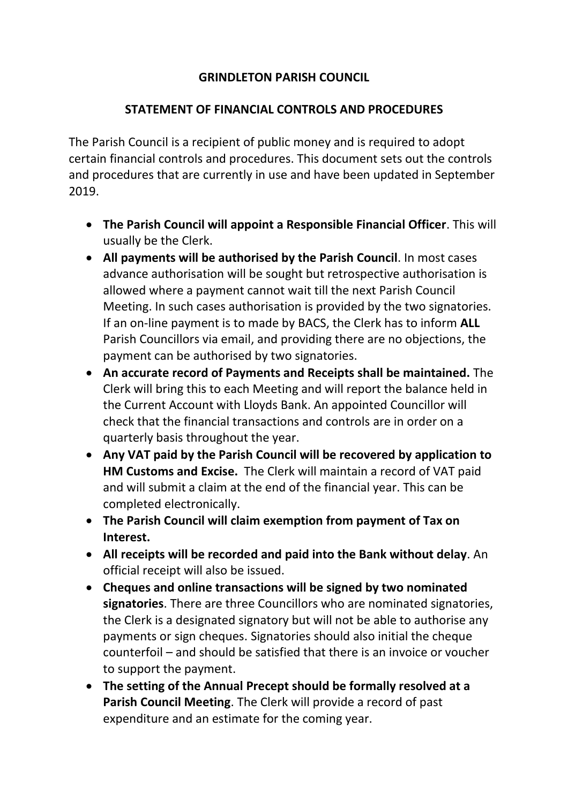## **GRINDLETON PARISH COUNCIL**

## **STATEMENT OF FINANCIAL CONTROLS AND PROCEDURES**

The Parish Council is a recipient of public money and is required to adopt certain financial controls and procedures. This document sets out the controls and procedures that are currently in use and have been updated in September 2019.

- **The Parish Council will appoint a Responsible Financial Officer**. This will usually be the Clerk.
- **All payments will be authorised by the Parish Council**. In most cases advance authorisation will be sought but retrospective authorisation is allowed where a payment cannot wait till the next Parish Council Meeting. In such cases authorisation is provided by the two signatories. If an on-line payment is to made by BACS, the Clerk has to inform **ALL**  Parish Councillors via email, and providing there are no objections, the payment can be authorised by two signatories.
- **An accurate record of Payments and Receipts shall be maintained.** The Clerk will bring this to each Meeting and will report the balance held in the Current Account with Lloyds Bank. An appointed Councillor will check that the financial transactions and controls are in order on a quarterly basis throughout the year.
- **Any VAT paid by the Parish Council will be recovered by application to HM Customs and Excise.** The Clerk will maintain a record of VAT paid and will submit a claim at the end of the financial year. This can be completed electronically.
- **The Parish Council will claim exemption from payment of Tax on Interest.**
- **All receipts will be recorded and paid into the Bank without delay**. An official receipt will also be issued.
- **Cheques and online transactions will be signed by two nominated signatories**. There are three Councillors who are nominated signatories, the Clerk is a designated signatory but will not be able to authorise any payments or sign cheques. Signatories should also initial the cheque counterfoil – and should be satisfied that there is an invoice or voucher to support the payment.
- **The setting of the Annual Precept should be formally resolved at a Parish Council Meeting**. The Clerk will provide a record of past expenditure and an estimate for the coming year.